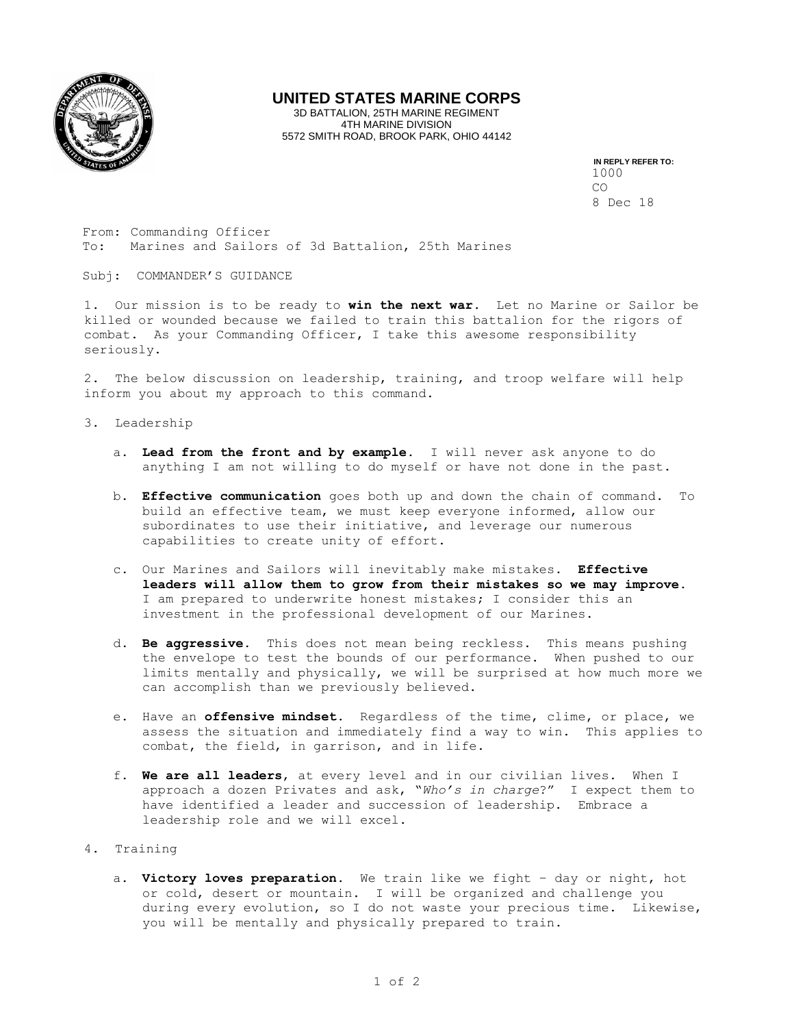

## **UNITED STATES MARINE CORPS**

3D BATTALION, 25TH MARINE REGIMENT 4TH MARINE DIVISION 5572 SMITH ROAD, BROOK PARK, OHIO 44142

> **IN REPLY REFER TO:**  1000 CO 8 Dec 18

From: Commanding Officer To: Marines and Sailors of 3d Battalion, 25th Marines

Subj: COMMANDER'S GUIDANCE

1. Our mission is to be ready to **win the next war**. Let no Marine or Sailor be killed or wounded because we failed to train this battalion for the rigors of combat. As your Commanding Officer, I take this awesome responsibility seriously.

2. The below discussion on leadership, training, and troop welfare will help inform you about my approach to this command.

- 3. Leadership
	- a. **Lead from the front and by example**. I will never ask anyone to do anything I am not willing to do myself or have not done in the past.
	- b. **Effective communication** goes both up and down the chain of command. To build an effective team, we must keep everyone informed, allow our subordinates to use their initiative, and leverage our numerous capabilities to create unity of effort.
	- c. Our Marines and Sailors will inevitably make mistakes. **Effective leaders will allow them to grow from their mistakes so we may improve**. I am prepared to underwrite honest mistakes; I consider this an investment in the professional development of our Marines.
	- d. **Be aggressive**. This does not mean being reckless. This means pushing the envelope to test the bounds of our performance. When pushed to our limits mentally and physically, we will be surprised at how much more we can accomplish than we previously believed.
	- e. Have an **offensive mindset**. Regardless of the time, clime, or place, we assess the situation and immediately find a way to win. This applies to combat, the field, in garrison, and in life.
	- f. **We are all leaders**, at every level and in our civilian lives. When I approach a dozen Privates and ask, "*Who's in charge*?" I expect them to have identified a leader and succession of leadership. Embrace a leadership role and we will excel.
- 4. Training
	- a. **Victory loves preparation**. We train like we fight day or night, hot or cold, desert or mountain. I will be organized and challenge you during every evolution, so I do not waste your precious time. Likewise, you will be mentally and physically prepared to train.